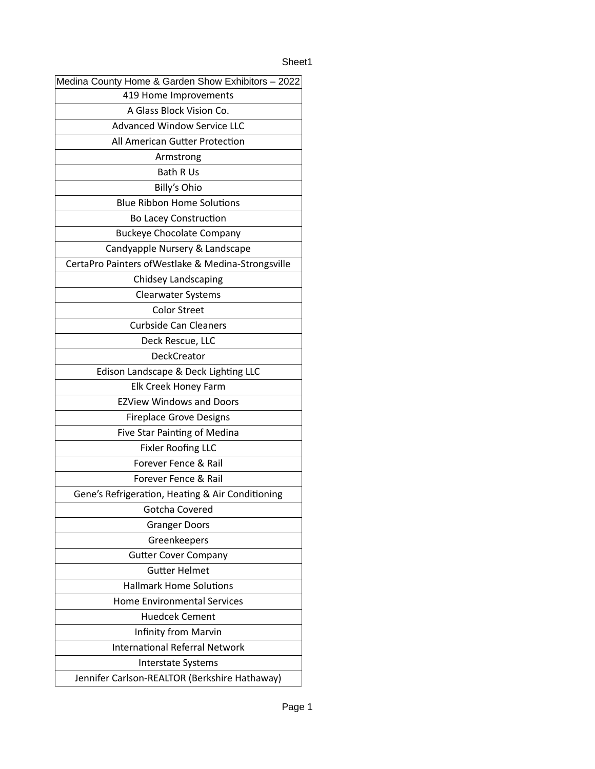## Sheet1

| Medina County Home & Garden Show Exhibitors - 2022  |
|-----------------------------------------------------|
| 419 Home Improvements                               |
| A Glass Block Vision Co.                            |
| <b>Advanced Window Service LLC</b>                  |
| All American Gutter Protection                      |
| Armstrong                                           |
| <b>Bath R Us</b>                                    |
| Billy's Ohio                                        |
| <b>Blue Ribbon Home Solutions</b>                   |
| <b>Bo Lacey Construction</b>                        |
| <b>Buckeye Chocolate Company</b>                    |
| Candyapple Nursery & Landscape                      |
| CertaPro Painters of Westlake & Medina-Strongsville |
| Chidsey Landscaping                                 |
| <b>Clearwater Systems</b>                           |
| <b>Color Street</b>                                 |
| <b>Curbside Can Cleaners</b>                        |
| Deck Rescue, LLC                                    |
| DeckCreator                                         |
| Edison Landscape & Deck Lighting LLC                |
| Elk Creek Honey Farm                                |
| <b>EZView Windows and Doors</b>                     |
| <b>Fireplace Grove Designs</b>                      |
| Five Star Painting of Medina                        |
| <b>Fixler Roofing LLC</b>                           |
| Forever Fence & Rail                                |
| Forever Fence & Rail                                |
| Gene's Refrigeration, Heating & Air Conditioning    |
| Gotcha Covered                                      |
| <b>Granger Doors</b>                                |
| Greenkeepers                                        |
| <b>Gutter Cover Company</b>                         |
| <b>Gutter Helmet</b>                                |
| <b>Hallmark Home Solutions</b>                      |
| <b>Home Environmental Services</b>                  |
| <b>Huedcek Cement</b>                               |
| <b>Infinity from Marvin</b>                         |
| <b>International Referral Network</b>               |
| <b>Interstate Systems</b>                           |
| Jennifer Carlson-REALTOR (Berkshire Hathaway)       |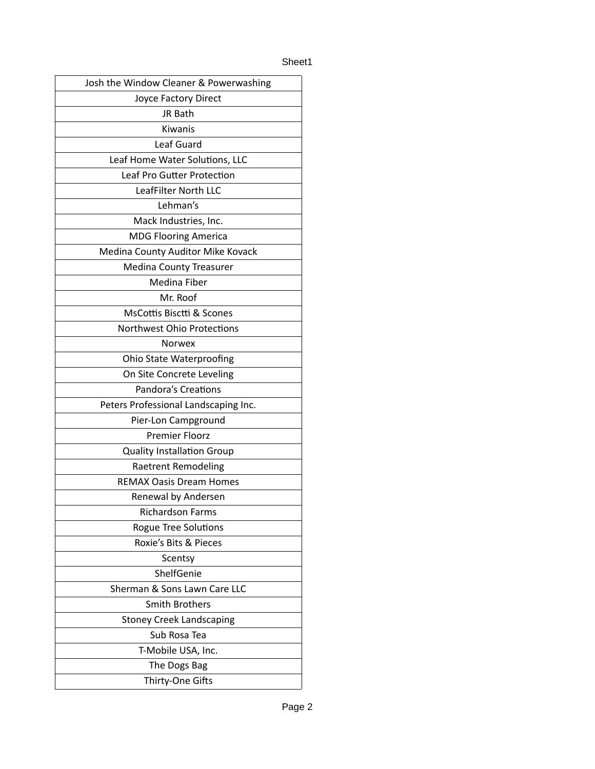## Sheet1

| Josh the Window Cleaner & Powerwashing |
|----------------------------------------|
| Joyce Factory Direct                   |
| JR Bath                                |
| Kiwanis                                |
| Leaf Guard                             |
| Leaf Home Water Solutions, LLC         |
| Leaf Pro Gutter Protection             |
| LeafFilter North LLC                   |
| Lehman's                               |
| Mack Industries, Inc.                  |
| <b>MDG Flooring America</b>            |
| Medina County Auditor Mike Kovack      |
| <b>Medina County Treasurer</b>         |
| Medina Fiber                           |
| Mr. Roof                               |
| <b>MsCottis Bisctti &amp; Scones</b>   |
| <b>Northwest Ohio Protections</b>      |
| <b>Norwex</b>                          |
| Ohio State Waterproofing               |
| On Site Concrete Leveling              |
| <b>Pandora's Creations</b>             |
| Peters Professional Landscaping Inc.   |
| Pier-Lon Campground                    |
| <b>Premier Floorz</b>                  |
| <b>Quality Installation Group</b>      |
| <b>Raetrent Remodeling</b>             |
| <b>REMAX Oasis Dream Homes</b>         |
| Renewal by Andersen                    |
| Richardson Farms                       |
| <b>Rogue Tree Solutions</b>            |
| Roxie's Bits & Pieces                  |
| Scentsy                                |
| ShelfGenie                             |
| Sherman & Sons Lawn Care LLC           |
| <b>Smith Brothers</b>                  |
| <b>Stoney Creek Landscaping</b>        |
| Sub Rosa Tea                           |
| T-Mobile USA, Inc.                     |
| The Dogs Bag                           |
| Thirty-One Gifts                       |